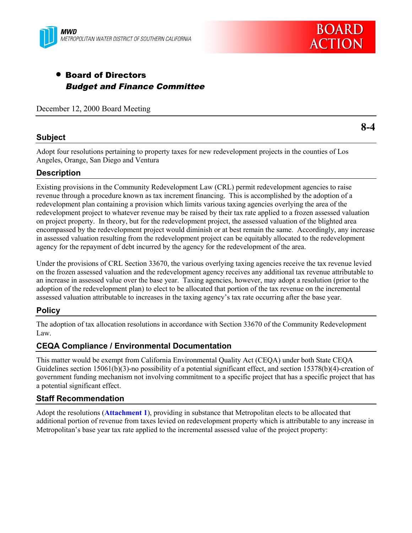



# • Board of Directors Budget and Finance Committee

December 12, 2000 Board Meeting

# **Subject**

**8-4**

Adopt four resolutions pertaining to property taxes for new redevelopment projects in the counties of Los Angeles, Orange, San Diego and Ventura

# **Description**

Existing provisions in the Community Redevelopment Law (CRL) permit redevelopment agencies to raise revenue through a procedure known as tax increment financing. This is accomplished by the adoption of a redevelopment plan containing a provision which limits various taxing agencies overlying the area of the redevelopment project to whatever revenue may be raised by their tax rate applied to a frozen assessed valuation on project property. In theory, but for the redevelopment project, the assessed valuation of the blighted area encompassed by the redevelopment project would diminish or at best remain the same. Accordingly, any increase in assessed valuation resulting from the redevelopment project can be equitably allocated to the redevelopment agency for the repayment of debt incurred by the agency for the redevelopment of the area.

Under the provisions of CRL Section 33670, the various overlying taxing agencies receive the tax revenue levied on the frozen assessed valuation and the redevelopment agency receives any additional tax revenue attributable to an increase in assessed value over the base year. Taxing agencies, however, may adopt a resolution (prior to the adoption of the redevelopment plan) to elect to be allocated that portion of the tax revenue on the incremental assessed valuation attributable to increases in the taxing agency's tax rate occurring after the base year.

## **Policy**

The adoption of tax allocation resolutions in accordance with Section 33670 of the Community Redevelopment Law.

## **CEQA Compliance / Environmental Documentation**

This matter would be exempt from California Environmental Quality Act (CEQA) under both State CEQA Guidelines section 15061(b)(3)-no possibility of a potential significant effect, and section 15378(b)(4)-creation of government funding mechanism not involving commitment to a specific project that has a specific project that has a potential significant effect.

## **Staff Recommendation**

Adopt the resolutions (**Attachment 1**), providing in substance that Metropolitan elects to be allocated that additional portion of revenue from taxes levied on redevelopment property which is attributable to any increase in Metropolitan's base year tax rate applied to the incremental assessed value of the project property: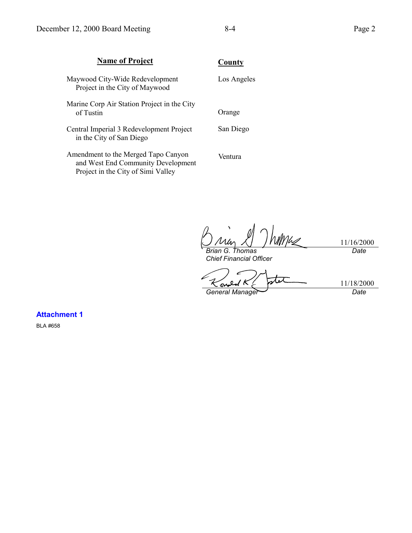| <b>Name of Project</b>                                                                                          | County      |
|-----------------------------------------------------------------------------------------------------------------|-------------|
| Maywood City-Wide Redevelopment<br>Project in the City of Maywood                                               | Los Angeles |
| Marine Corp Air Station Project in the City<br>of Tustin                                                        | Orange      |
| Central Imperial 3 Redevelopment Project<br>in the City of San Diego                                            | San Diego   |
| Amendment to the Merged Tapo Canyon<br>and West End Community Development<br>Project in the City of Simi Valley | Ventura     |

Mhs 11/16/2000 *Brian G. Thomas*

*Chief Financial Officer*

*Date*

stet 11/18/2000  $\mathbf o$ f <u>ক</u> *General Manager Date*

**Attachment 1**

BLA #658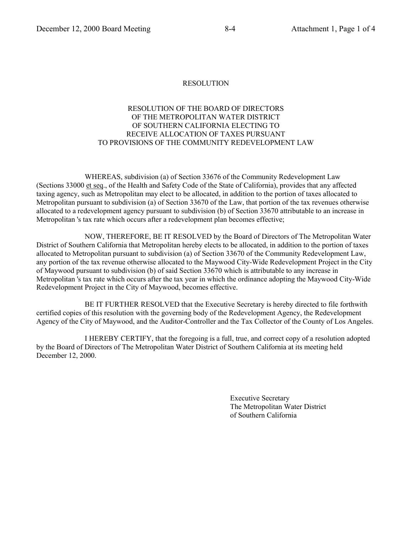## RESOLUTION OF THE BOARD OF DIRECTORS OF THE METROPOLITAN WATER DISTRICT OF SOUTHERN CALIFORNIA ELECTING TO RECEIVE ALLOCATION OF TAXES PURSUANT TO PROVISIONS OF THE COMMUNITY REDEVELOPMENT LAW

WHEREAS, subdivision (a) of Section 33676 of the Community Redevelopment Law (Sections 33000 et seq., of the Health and Safety Code of the State of California), provides that any affected taxing agency, such as Metropolitan may elect to be allocated, in addition to the portion of taxes allocated to Metropolitan pursuant to subdivision (a) of Section 33670 of the Law, that portion of the tax revenues otherwise allocated to a redevelopment agency pursuant to subdivision (b) of Section 33670 attributable to an increase in Metropolitan 's tax rate which occurs after a redevelopment plan becomes effective;

NOW, THEREFORE, BE IT RESOLVED by the Board of Directors of The Metropolitan Water District of Southern California that Metropolitan hereby elects to be allocated, in addition to the portion of taxes allocated to Metropolitan pursuant to subdivision (a) of Section 33670 of the Community Redevelopment Law, any portion of the tax revenue otherwise allocated to the Maywood City-Wide Redevelopment Project in the City of Maywood pursuant to subdivision (b) of said Section 33670 which is attributable to any increase in Metropolitan 's tax rate which occurs after the tax year in which the ordinance adopting the Maywood City-Wide Redevelopment Project in the City of Maywood, becomes effective.

BE IT FURTHER RESOLVED that the Executive Secretary is hereby directed to file forthwith certified copies of this resolution with the governing body of the Redevelopment Agency, the Redevelopment Agency of the City of Maywood, and the Auditor-Controller and the Tax Collector of the County of Los Angeles.

I HEREBY CERTIFY, that the foregoing is a full, true, and correct copy of a resolution adopted by the Board of Directors of The Metropolitan Water District of Southern California at its meeting held December 12, 2000.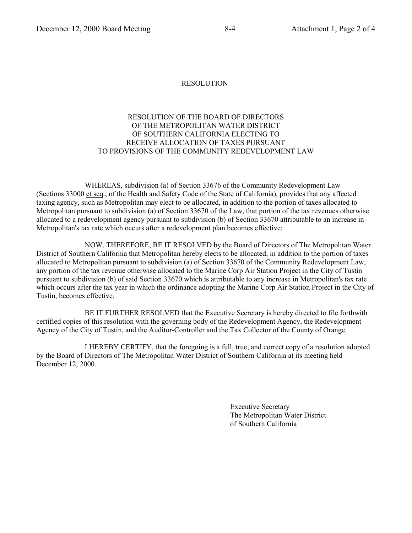## RESOLUTION OF THE BOARD OF DIRECTORS OF THE METROPOLITAN WATER DISTRICT OF SOUTHERN CALIFORNIA ELECTING TO RECEIVE ALLOCATION OF TAXES PURSUANT TO PROVISIONS OF THE COMMUNITY REDEVELOPMENT LAW

WHEREAS, subdivision (a) of Section 33676 of the Community Redevelopment Law (Sections 33000 et seq., of the Health and Safety Code of the State of California), provides that any affected taxing agency, such as Metropolitan may elect to be allocated, in addition to the portion of taxes allocated to Metropolitan pursuant to subdivision (a) of Section 33670 of the Law, that portion of the tax revenues otherwise allocated to a redevelopment agency pursuant to subdivision (b) of Section 33670 attributable to an increase in Metropolitan's tax rate which occurs after a redevelopment plan becomes effective;

NOW, THEREFORE, BE IT RESOLVED by the Board of Directors of The Metropolitan Water District of Southern California that Metropolitan hereby elects to be allocated, in addition to the portion of taxes allocated to Metropolitan pursuant to subdivision (a) of Section 33670 of the Community Redevelopment Law, any portion of the tax revenue otherwise allocated to the Marine Corp Air Station Project in the City of Tustin pursuant to subdivision (b) of said Section 33670 which is attributable to any increase in Metropolitan's tax rate which occurs after the tax year in which the ordinance adopting the Marine Corp Air Station Project in the City of Tustin, becomes effective.

BE IT FURTHER RESOLVED that the Executive Secretary is hereby directed to file forthwith certified copies of this resolution with the governing body of the Redevelopment Agency, the Redevelopment Agency of the City of Tustin, and the Auditor-Controller and the Tax Collector of the County of Orange.

I HEREBY CERTIFY, that the foregoing is a full, true, and correct copy of a resolution adopted by the Board of Directors of The Metropolitan Water District of Southern California at its meeting held December 12, 2000.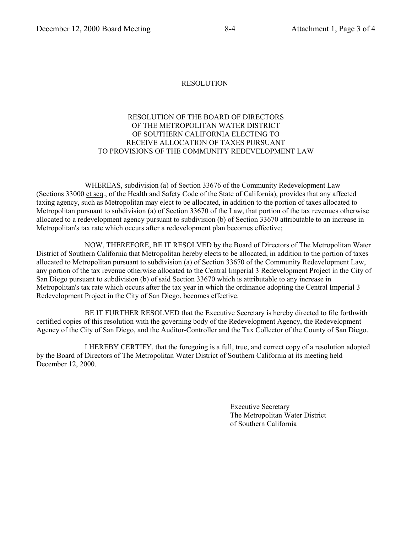## RESOLUTION OF THE BOARD OF DIRECTORS OF THE METROPOLITAN WATER DISTRICT OF SOUTHERN CALIFORNIA ELECTING TO RECEIVE ALLOCATION OF TAXES PURSUANT TO PROVISIONS OF THE COMMUNITY REDEVELOPMENT LAW

WHEREAS, subdivision (a) of Section 33676 of the Community Redevelopment Law (Sections 33000 et seq., of the Health and Safety Code of the State of California), provides that any affected taxing agency, such as Metropolitan may elect to be allocated, in addition to the portion of taxes allocated to Metropolitan pursuant to subdivision (a) of Section 33670 of the Law, that portion of the tax revenues otherwise allocated to a redevelopment agency pursuant to subdivision (b) of Section 33670 attributable to an increase in Metropolitan's tax rate which occurs after a redevelopment plan becomes effective;

NOW, THEREFORE, BE IT RESOLVED by the Board of Directors of The Metropolitan Water District of Southern California that Metropolitan hereby elects to be allocated, in addition to the portion of taxes allocated to Metropolitan pursuant to subdivision (a) of Section 33670 of the Community Redevelopment Law, any portion of the tax revenue otherwise allocated to the Central Imperial 3 Redevelopment Project in the City of San Diego pursuant to subdivision (b) of said Section 33670 which is attributable to any increase in Metropolitan's tax rate which occurs after the tax year in which the ordinance adopting the Central Imperial 3 Redevelopment Project in the City of San Diego, becomes effective.

BE IT FURTHER RESOLVED that the Executive Secretary is hereby directed to file forthwith certified copies of this resolution with the governing body of the Redevelopment Agency, the Redevelopment Agency of the City of San Diego, and the Auditor-Controller and the Tax Collector of the County of San Diego.

I HEREBY CERTIFY, that the foregoing is a full, true, and correct copy of a resolution adopted by the Board of Directors of The Metropolitan Water District of Southern California at its meeting held December 12, 2000.